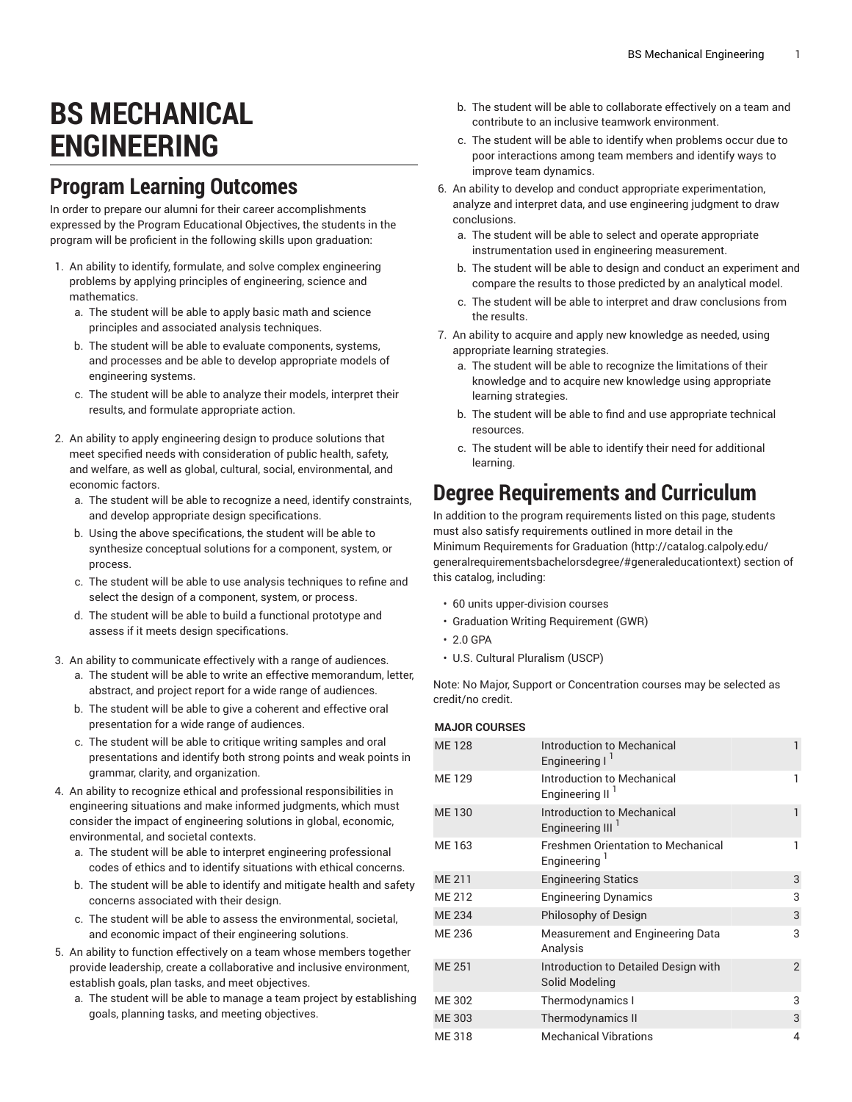## **BS MECHANICAL ENGINEERING**

## **Program Learning Outcomes**

In order to prepare our alumni for their career accomplishments expressed by the Program Educational Objectives, the students in the program will be proficient in the following skills upon graduation:

- 1. An ability to identify, formulate, and solve complex engineering problems by applying principles of engineering, science and mathematics.
	- a. The student will be able to apply basic math and science principles and associated analysis techniques.
	- b. The student will be able to evaluate components, systems, and processes and be able to develop appropriate models of engineering systems.
	- c. The student will be able to analyze their models, interpret their results, and formulate appropriate action.
- 2. An ability to apply engineering design to produce solutions that meet specified needs with consideration of public health, safety, and welfare, as well as global, cultural, social, environmental, and economic factors.
	- a. The student will be able to recognize a need, identify constraints, and develop appropriate design specifications.
	- b. Using the above specifications, the student will be able to synthesize conceptual solutions for a component, system, or process.
	- c. The student will be able to use analysis techniques to refine and select the design of a component, system, or process.
	- d. The student will be able to build a functional prototype and assess if it meets design specifications.
- 3. An ability to communicate effectively with a range of audiences.
	- a. The student will be able to write an effective memorandum, letter, abstract, and project report for a wide range of audiences.
	- b. The student will be able to give a coherent and effective oral presentation for a wide range of audiences.
	- c. The student will be able to critique writing samples and oral presentations and identify both strong points and weak points in grammar, clarity, and organization.
- 4. An ability to recognize ethical and professional responsibilities in engineering situations and make informed judgments, which must consider the impact of engineering solutions in global, economic, environmental, and societal contexts.
	- a. The student will be able to interpret engineering professional codes of ethics and to identify situations with ethical concerns.
	- b. The student will be able to identify and mitigate health and safety concerns associated with their design.
	- c. The student will be able to assess the environmental, societal, and economic impact of their engineering solutions.
- 5. An ability to function effectively on a team whose members together provide leadership, create a collaborative and inclusive environment, establish goals, plan tasks, and meet objectives.
	- a. The student will be able to manage a team project by establishing goals, planning tasks, and meeting objectives.
- b. The student will be able to collaborate effectively on a team and contribute to an inclusive teamwork environment.
- c. The student will be able to identify when problems occur due to poor interactions among team members and identify ways to improve team dynamics.
- 6. An ability to develop and conduct appropriate experimentation, analyze and interpret data, and use engineering judgment to draw conclusions.
	- a. The student will be able to select and operate appropriate instrumentation used in engineering measurement.
	- b. The student will be able to design and conduct an experiment and compare the results to those predicted by an analytical model.
	- c. The student will be able to interpret and draw conclusions from the results.
- 7. An ability to acquire and apply new knowledge as needed, using appropriate learning strategies.
	- a. The student will be able to recognize the limitations of their knowledge and to acquire new knowledge using appropriate learning strategies.
	- b. The student will be able to find and use appropriate technical resources.
	- c. The student will be able to identify their need for additional learning.

## **Degree Requirements and Curriculum**

In addition to the program requirements listed on this page, students must also satisfy requirements outlined in more detail in the Minimum [Requirements](http://catalog.calpoly.edu/generalrequirementsbachelorsdegree/#generaleducationtext) for Graduation [\(http://catalog.calpoly.edu/](http://catalog.calpoly.edu/generalrequirementsbachelorsdegree/#generaleducationtext) [generalrequirementsbachelorsdegree/#generaleducationtext](http://catalog.calpoly.edu/generalrequirementsbachelorsdegree/#generaleducationtext)) section of this catalog, including:

- 60 units upper-division courses
- Graduation Writing Requirement (GWR)
- 2.0 GPA
- U.S. Cultural Pluralism (USCP)

Note: No Major, Support or Concentration courses may be selected as credit/no credit.

## **MAJOR COURSES**

| <b>ME128</b>  | Introduction to Mechanical<br>Engineering I                | $\mathbf{1}$   |
|---------------|------------------------------------------------------------|----------------|
| ME 129        | Introduction to Mechanical<br>Engineering II <sup>1</sup>  | 1              |
| <b>ME130</b>  | Introduction to Mechanical<br>Engineering III <sup>I</sup> | 1              |
| ME 163        | <b>Freshmen Orientation to Mechanical</b><br>Engineering   | 1              |
| ME 211        | <b>Engineering Statics</b>                                 | 3              |
| ME 212        | <b>Engineering Dynamics</b>                                | 3              |
| <b>ME 234</b> | Philosophy of Design                                       | 3              |
| ME 236        | Measurement and Engineering Data<br>Analysis               | 3              |
| <b>ME 251</b> | Introduction to Detailed Design with<br>Solid Modeling     | $\overline{2}$ |
| ME 302        | Thermodynamics I                                           | 3              |
| <b>ME 303</b> | Thermodynamics II                                          | 3              |
| ME 318        | <b>Mechanical Vibrations</b>                               | $\overline{4}$ |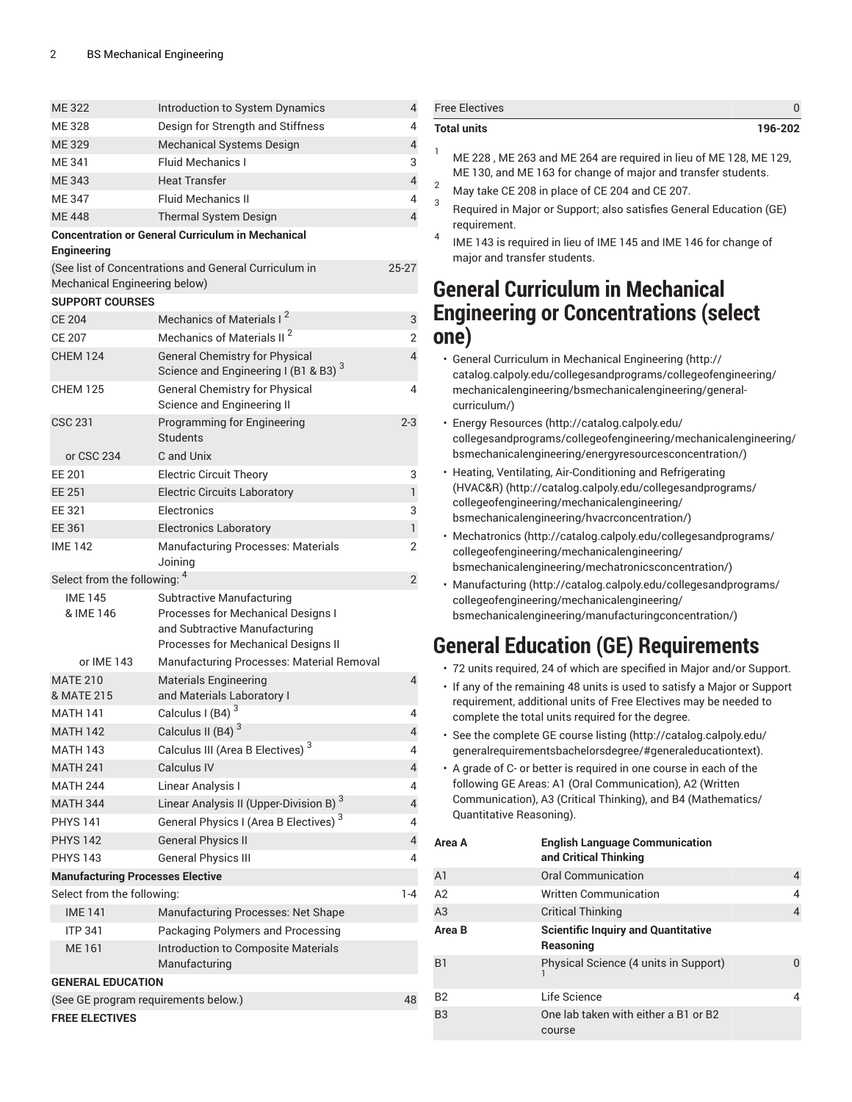| <b>ME322</b>                            |                                                                                                                                                |                |
|-----------------------------------------|------------------------------------------------------------------------------------------------------------------------------------------------|----------------|
|                                         | Introduction to System Dynamics                                                                                                                | 4              |
| <b>ME328</b>                            | Design for Strength and Stiffness                                                                                                              | 4              |
| <b>ME329</b>                            | Mechanical Systems Design                                                                                                                      | $\overline{4}$ |
| <b>ME341</b>                            | <b>Fluid Mechanics I</b>                                                                                                                       | 3              |
| <b>ME343</b>                            | <b>Heat Transfer</b>                                                                                                                           | $\overline{4}$ |
| <b>ME 347</b>                           | <b>Fluid Mechanics II</b>                                                                                                                      | 4              |
| <b>ME448</b>                            | <b>Thermal System Design</b>                                                                                                                   | 4              |
| Engineering                             | <b>Concentration or General Curriculum in Mechanical</b>                                                                                       |                |
| Mechanical Engineering below)           | (See list of Concentrations and General Curriculum in                                                                                          | 25-27          |
| <b>SUPPORT COURSES</b>                  |                                                                                                                                                |                |
| <b>CE 204</b>                           | Mechanics of Materials I <sup>2</sup>                                                                                                          | 3              |
| <b>CE 207</b>                           | Mechanics of Materials II <sup>2</sup>                                                                                                         | 2              |
| <b>CHEM 124</b>                         | <b>General Chemistry for Physical</b><br>Science and Engineering I (B1 & B3) <sup>3</sup>                                                      | $\overline{4}$ |
| <b>CHEM 125</b>                         | <b>General Chemistry for Physical</b><br>Science and Engineering II                                                                            | 4              |
| CSC 231                                 | Programming for Engineering<br><b>Students</b>                                                                                                 | $2 - 3$        |
| or CSC 234                              | C and Unix                                                                                                                                     |                |
| EE 201                                  | <b>Electric Circuit Theory</b>                                                                                                                 | 3              |
| EE 251                                  | <b>Electric Circuits Laboratory</b>                                                                                                            | $\mathbf{1}$   |
| EE 321                                  | Electronics                                                                                                                                    | 3              |
| EE 361                                  | <b>Electronics Laboratory</b>                                                                                                                  | $\mathbf{1}$   |
| <b>IME 142</b>                          | <b>Manufacturing Processes: Materials</b><br>Joining                                                                                           | 2              |
| Select from the following: 4            |                                                                                                                                                | 2              |
| <b>IME 145</b>                          |                                                                                                                                                |                |
| & IME 146                               | <b>Subtractive Manufacturing</b><br>Processes for Mechanical Designs I<br>and Subtractive Manufacturing<br>Processes for Mechanical Designs II |                |
| or IME 143                              | Manufacturing Processes: Material Removal                                                                                                      |                |
| <b>MATE 210</b><br>& MATE 215           | <b>Materials Engineering</b>                                                                                                                   | 4              |
| <b>MATH 141</b>                         | and Materials Laboratory I<br>Calculus I (B4) <sup>3</sup>                                                                                     | 4              |
| <b>MATH 142</b>                         |                                                                                                                                                | 4              |
| <b>MATH 143</b>                         | Calculus II (B4) <sup>3</sup>                                                                                                                  | 4              |
| <b>MATH 241</b>                         | Calculus III (Area B Electives) <sup>3</sup><br>Calculus IV                                                                                    | 4              |
| <b>MATH 244</b>                         | Linear Analysis I                                                                                                                              | 4              |
| <b>MATH 344</b>                         |                                                                                                                                                | 4              |
| <b>PHYS 141</b>                         | Linear Analysis II (Upper-Division B) 3<br>General Physics I (Area B Electives) <sup>3</sup>                                                   | 4              |
| <b>PHYS 142</b>                         | <b>General Physics II</b>                                                                                                                      | $\overline{4}$ |
| <b>PHYS 143</b>                         | <b>General Physics III</b>                                                                                                                     | 4              |
| <b>Manufacturing Processes Elective</b> |                                                                                                                                                |                |
| Select from the following:              |                                                                                                                                                | $1 - 4$        |
| <b>IME 141</b>                          | Manufacturing Processes: Net Shape                                                                                                             |                |
| <b>ITP 341</b>                          | Packaging Polymers and Processing                                                                                                              |                |
| ME 161                                  | Introduction to Composite Materials                                                                                                            |                |
|                                         | Manufacturing                                                                                                                                  |                |
| <b>GENERAL EDUCATION</b>                |                                                                                                                                                |                |
| (See GE program requirements below.)    |                                                                                                                                                | 48             |

| <b>Total units</b>                                                                                                                                                                                                     | 196-202                                                                                                                                                                                                                                                                                                                         |   |
|------------------------------------------------------------------------------------------------------------------------------------------------------------------------------------------------------------------------|---------------------------------------------------------------------------------------------------------------------------------------------------------------------------------------------------------------------------------------------------------------------------------------------------------------------------------|---|
| 1<br>2<br>3<br>requirement.<br>4<br>major and transfer students.                                                                                                                                                       | ME 228, ME 263 and ME 264 are required in lieu of ME 128, ME 129,<br>ME 130, and ME 163 for change of major and transfer students.<br>May take CE 208 in place of CE 204 and CE 207.<br>Required in Major or Support; also satisfies General Education (GE)<br>IME 143 is required in lieu of IME 145 and IME 146 for change of |   |
|                                                                                                                                                                                                                        |                                                                                                                                                                                                                                                                                                                                 |   |
|                                                                                                                                                                                                                        | <b>General Curriculum in Mechanical</b>                                                                                                                                                                                                                                                                                         |   |
|                                                                                                                                                                                                                        | <b>Engineering or Concentrations (select</b>                                                                                                                                                                                                                                                                                    |   |
| one)                                                                                                                                                                                                                   |                                                                                                                                                                                                                                                                                                                                 |   |
| curriculum/)                                                                                                                                                                                                           | · General Curriculum in Mechanical Engineering (http://<br>catalog.calpoly.edu/collegesandprograms/collegeofengineering/<br>mechanicalengineering/bsmechanicalengineering/general-<br>· Energy Resources (http://catalog.calpoly.edu/                                                                                           |   |
|                                                                                                                                                                                                                        | collegesandprograms/collegeofengineering/mechanicalengineering/                                                                                                                                                                                                                                                                 |   |
|                                                                                                                                                                                                                        | bsmechanicalengineering/energyresourcesconcentration/)                                                                                                                                                                                                                                                                          |   |
| • Heating, Ventilating, Air-Conditioning and Refrigerating<br>(HVAC&R) (http://catalog.calpoly.edu/collegesandprograms/<br>collegeofengineering/mechanicalengineering/<br>bsmechanicalengineering/hvacrconcentration/) |                                                                                                                                                                                                                                                                                                                                 |   |
|                                                                                                                                                                                                                        | · Mechatronics (http://catalog.calpoly.edu/collegesandprograms/                                                                                                                                                                                                                                                                 |   |
|                                                                                                                                                                                                                        | collegeofengineering/mechanicalengineering/                                                                                                                                                                                                                                                                                     |   |
|                                                                                                                                                                                                                        | bsmechanicalengineering/mechatronicsconcentration/)                                                                                                                                                                                                                                                                             |   |
| · Manufacturing (http://catalog.calpoly.edu/collegesandprograms/<br>collegeofengineering/mechanicalengineering/                                                                                                        |                                                                                                                                                                                                                                                                                                                                 |   |
|                                                                                                                                                                                                                        | bsmechanicalengineering/manufacturingconcentration/)                                                                                                                                                                                                                                                                            |   |
|                                                                                                                                                                                                                        | <b>General Education (GE) Requirements</b>                                                                                                                                                                                                                                                                                      |   |
|                                                                                                                                                                                                                        | · 72 units required, 24 of which are specified in Major and/or Support.                                                                                                                                                                                                                                                         |   |
|                                                                                                                                                                                                                        |                                                                                                                                                                                                                                                                                                                                 |   |
| • If any of the remaining 48 units is used to satisfy a Major or Support<br>requirement, additional units of Free Electives may be needed to<br>complete the total units required for the degree.                      |                                                                                                                                                                                                                                                                                                                                 |   |
|                                                                                                                                                                                                                        | · See the complete GE course listing (http://catalog.calpoly.edu/<br>generalrequirementsbachelorsdegree/#generaleducationtext).                                                                                                                                                                                                 |   |
|                                                                                                                                                                                                                        | • A grade of C- or better is required in one course in each of the<br>following GE Areas: A1 (Oral Communication), A2 (Written                                                                                                                                                                                                  |   |
| Quantitative Reasoning).                                                                                                                                                                                               | Communication), A3 (Critical Thinking), and B4 (Mathematics/                                                                                                                                                                                                                                                                    |   |
| Area A                                                                                                                                                                                                                 | <b>English Language Communication</b><br>and Critical Thinking                                                                                                                                                                                                                                                                  |   |
| A1                                                                                                                                                                                                                     | Oral Communication                                                                                                                                                                                                                                                                                                              | 4 |
| А2                                                                                                                                                                                                                     | <b>Written Communication</b>                                                                                                                                                                                                                                                                                                    | 4 |
| A <sub>3</sub>                                                                                                                                                                                                         | <b>Critical Thinking</b>                                                                                                                                                                                                                                                                                                        | 4 |
| Area B                                                                                                                                                                                                                 | <b>Scientific Inquiry and Quantitative</b><br>Reasoning                                                                                                                                                                                                                                                                         |   |
| <b>B1</b>                                                                                                                                                                                                              | Physical Science (4 units in Support)                                                                                                                                                                                                                                                                                           | 0 |

B2 Life Science 4

B3 One lab taken with either a B1 or B2 course

Free Electives **District Contract Contract Contract Contract Contract Contract Contract Contract Contract Contract Contract Contract Contract Contract Contract Contract Contract Contract Contract Contract Contract Contract**